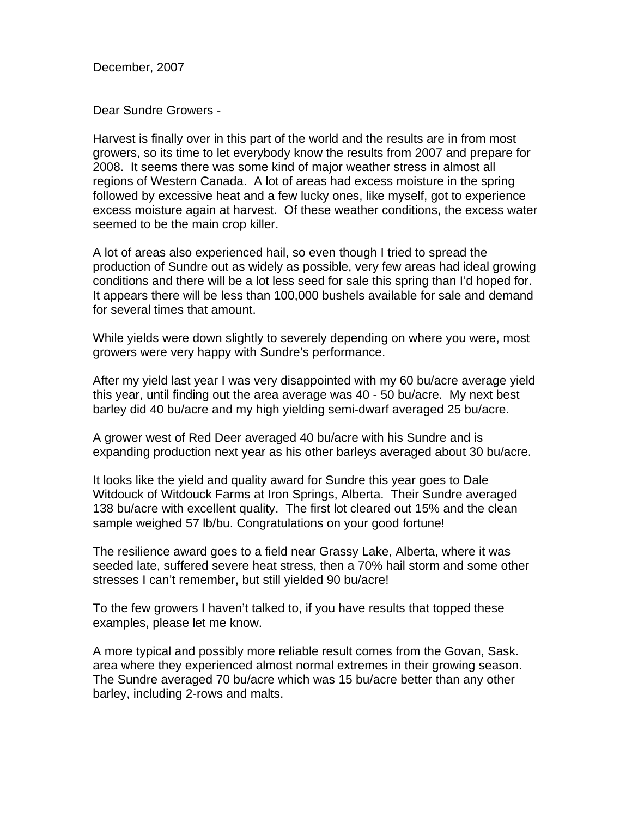December, 2007

Dear Sundre Growers -

Harvest is finally over in this part of the world and the results are in from most growers, so its time to let everybody know the results from 2007 and prepare for 2008. It seems there was some kind of major weather stress in almost all regions of Western Canada. A lot of areas had excess moisture in the spring followed by excessive heat and a few lucky ones, like myself, got to experience excess moisture again at harvest. Of these weather conditions, the excess water seemed to be the main crop killer.

A lot of areas also experienced hail, so even though I tried to spread the production of Sundre out as widely as possible, very few areas had ideal growing conditions and there will be a lot less seed for sale this spring than I'd hoped for. It appears there will be less than 100,000 bushels available for sale and demand for several times that amount.

While yields were down slightly to severely depending on where you were, most growers were very happy with Sundre's performance.

After my yield last year I was very disappointed with my 60 bu/acre average yield this year, until finding out the area average was 40 - 50 bu/acre. My next best barley did 40 bu/acre and my high yielding semi-dwarf averaged 25 bu/acre.

A grower west of Red Deer averaged 40 bu/acre with his Sundre and is expanding production next year as his other barleys averaged about 30 bu/acre.

It looks like the yield and quality award for Sundre this year goes to Dale Witdouck of Witdouck Farms at Iron Springs, Alberta. Their Sundre averaged 138 bu/acre with excellent quality. The first lot cleared out 15% and the clean sample weighed 57 lb/bu. Congratulations on your good fortune!

The resilience award goes to a field near Grassy Lake, Alberta, where it was seeded late, suffered severe heat stress, then a 70% hail storm and some other stresses I can't remember, but still yielded 90 bu/acre!

To the few growers I haven't talked to, if you have results that topped these examples, please let me know.

A more typical and possibly more reliable result comes from the Govan, Sask. area where they experienced almost normal extremes in their growing season. The Sundre averaged 70 bu/acre which was 15 bu/acre better than any other barley, including 2-rows and malts.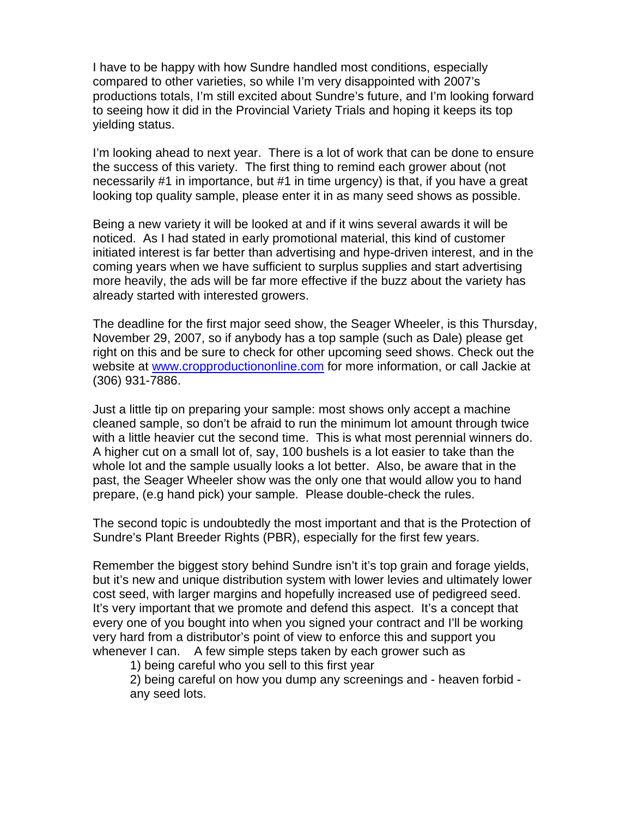I have to be happy with how Sundre handled most conditions, especially compared to other varieties, so while I'm very disappointed with 2007's productions totals, I'm still excited about Sundre's future, and I'm looking forward to seeing how it did in the Provincial Variety Trials and hoping it keeps its top yielding status.

I'm looking ahead to next year. There is a lot of work that can be done to ensure the success of this variety. The first thing to remind each grower about (not necessarily #1 in importance, but #1 in time urgency) is that, if you have a great looking top quality sample, please enter it in as many seed shows as possible.

Being a new variety it will be looked at and if it wins several awards it will be noticed. As I had stated in early promotional material, this kind of customer initiated interest is far better than advertising and hype-driven interest, and in the coming years when we have sufficient to surplus supplies and start advertising more heavily, the ads will be far more effective if the buzz about the variety has already started with interested growers.

The deadline for the first major seed show, the Seager Wheeler, is this Thursday, November 29, 2007, so if anybody has a top sample (such as Dale) please get right on this and be sure to check for other upcoming seed shows. Check out the website at www.cropproductiononline.com for more information, or call Jackie at (306) 931-7886.

Just a little tip on preparing your sample: most shows only accept a machine cleaned sample, so don't be afraid to run the minimum lot amount through twice with a little heavier cut the second time. This is what most perennial winners do. A higher cut on a small lot of, say, 100 bushels is a lot easier to take than the whole lot and the sample usually looks a lot better. Also, be aware that in the past, the Seager Wheeler show was the only one that would allow you to hand prepare, (e.g hand pick) your sample. Please double-check the rules.

The second topic is undoubtedly the most important and that is the Protection of Sundre's Plant Breeder Rights (PBR), especially for the first few years.

Remember the biggest story behind Sundre isn't it's top grain and forage yields, but it's new and unique distribution system with lower levies and ultimately lower cost seed, with larger margins and hopefully increased use of pedigreed seed. It's very important that we promote and defend this aspect. It's a concept that every one of you bought into when you signed your contract and I'll be working very hard from a distributor's point of view to enforce this and support you whenever I can. A few simple steps taken by each grower such as

1) being careful who you sell to this first year

 2) being careful on how you dump any screenings and - heaven forbid any seed lots.